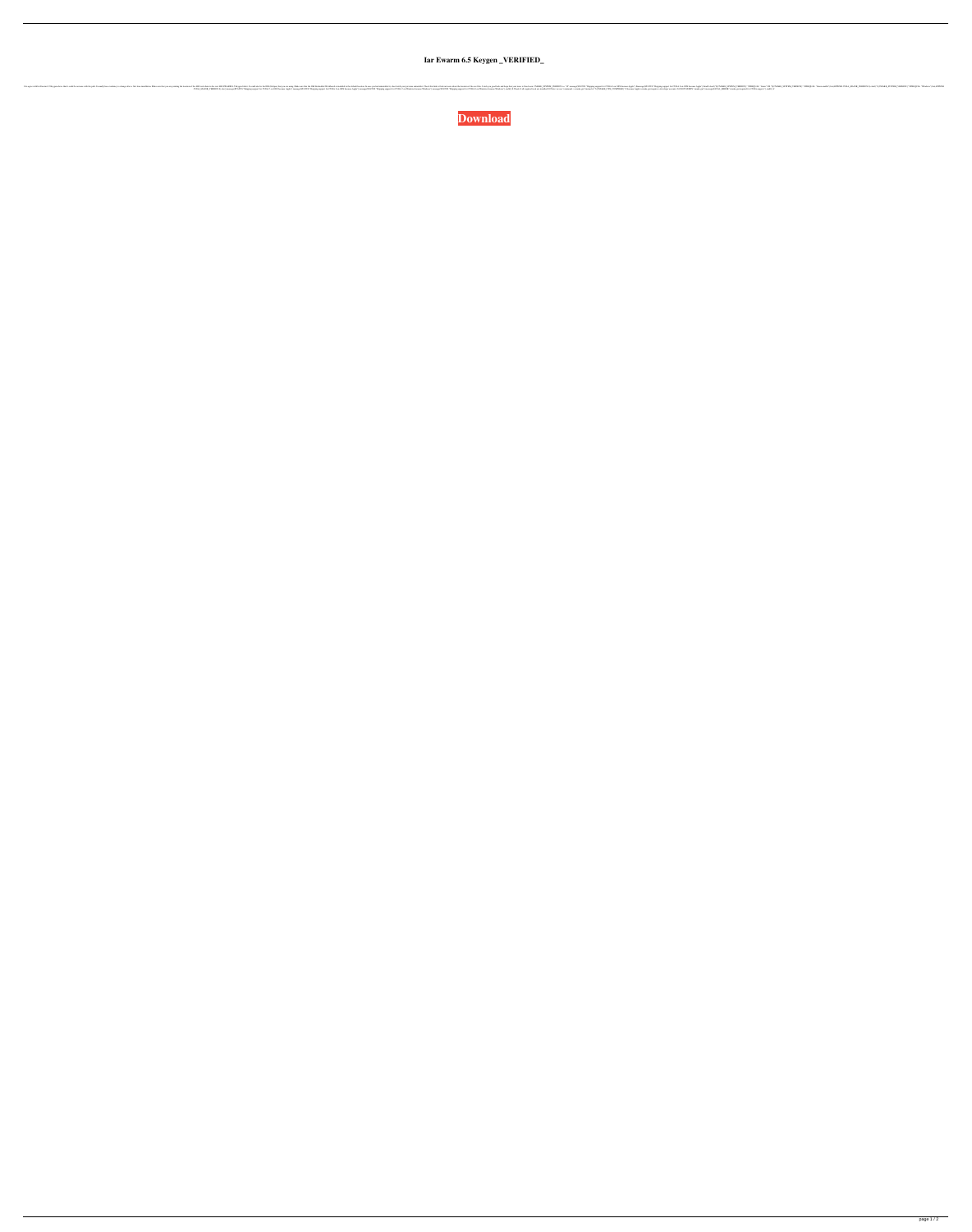**Iar Ewarm 6.5 Keygen \_VERIFIED\_**

I do agree with Iar Ewarm 6.5 Keygen above that it could be an issue with the path. It usually has a tendency to change after a first time installation. Make sure that you are pointing the location of the IAR tool-chain to the root IAR EWARM 6.5 Keygen folder. It could also be the IDE (Eclipse) that you are using. Make sure that the IAR Embedded Workbench is installed in the default location. In case you had uninstalled it, check with your previous uninstaller. Check this link to find out more about the location of the.exe files. I wish you good luck and hope that your issue is fixed soon. CMAKE\_SYSTEM\_VERSION >= "10" message(STATUS "Skipping support for CUDA 8 on OSX because Apple") #message(STATUS "Skipping support for CUDA 8 on OSX because Apple") #endif elseif("\${CMAKE\_SYSTEM\_VERSION}" STREQUAL "Linux" OR "\${CMAKE\_SYSTEM\_VERSION}" STREQUAL "Linux-amd64") list(APPEND CUDA\_MAJOR\_VERSION 8) elseif("\${CMAKE\_SYSTEM\_VERSION}" STREQUAL "Windows") list(APPEND CUDA\_MAJOR\_VERSION 8) else() message(STATUS "Skipping support for CUDA 7 on OSX because Apple") message(STATUS "Skipping support for CUDA 8 on OSX because Apple") message(STATUS "Skipping support for CUDA 7 on Windows because Windows") message(STATUS "Skipping support for CUDA 8 on Windows because Windows") endif() # Check if all required tools are installed # # Note: we use "command -v cmake-gui" instead of "\${CMAKE\_CXX\_COMPILER}" # because Apple's cmake-gui requires a developer account. # if(NOT EXISTS "cmake-gui") message(FATAL\_ERROR "cmake-gui required for CUDA support.") endif() if